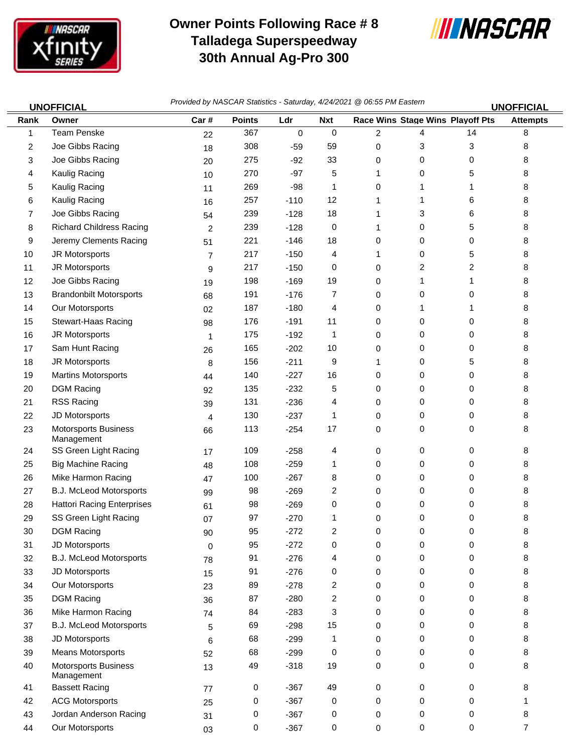

 $\equiv$ 

## **Owner Points Following Race # 8 Talladega Superspeedway 30th Annual Ag-Pro 300**



|                | <b>UNOFFICIAL</b>                         | Provided by NASCAR Statistics - Saturday, 4/24/2021 @ 06:55 PM Eastern<br><b>UNOFFICIAL</b> |               |           |                |                |           |                                  |                 |  |
|----------------|-------------------------------------------|---------------------------------------------------------------------------------------------|---------------|-----------|----------------|----------------|-----------|----------------------------------|-----------------|--|
| Rank           | Owner                                     | Car#                                                                                        | <b>Points</b> | Ldr       | <b>Nxt</b>     |                |           | Race Wins Stage Wins Playoff Pts | <b>Attempts</b> |  |
| 1              | <b>Team Penske</b>                        | 22                                                                                          | 367           | $\pmb{0}$ | 0              | $\overline{c}$ | 4         | 14                               | 8               |  |
| $\overline{2}$ | Joe Gibbs Racing                          | 18                                                                                          | 308           | $-59$     | 59             | 0              | 3         | 3                                | 8               |  |
| 3              | Joe Gibbs Racing                          | 20                                                                                          | 275           | $-92$     | 33             | 0              | 0         | 0                                | 8               |  |
| 4              | Kaulig Racing                             | 10                                                                                          | 270           | $-97$     | 5              | 1              | 0         | 5                                | 8               |  |
| 5              | Kaulig Racing                             | 11                                                                                          | 269           | $-98$     | 1              | 0              | 1         | 1                                | 8               |  |
| 6              | Kaulig Racing                             | 16                                                                                          | 257           | $-110$    | 12             | 1              | 1         | 6                                | 8               |  |
| 7              | Joe Gibbs Racing                          | 54                                                                                          | 239           | $-128$    | 18             | 1              | 3         | 6                                | 8               |  |
| 8              | <b>Richard Childress Racing</b>           | $\overline{c}$                                                                              | 239           | $-128$    | 0              | 1              | 0         | 5                                | 8               |  |
| 9              | Jeremy Clements Racing                    | 51                                                                                          | 221           | $-146$    | 18             | 0              | 0         | 0                                | 8               |  |
| 10             | JR Motorsports                            | $\overline{7}$                                                                              | 217           | $-150$    | 4              | 1              | 0         | 5                                | 8               |  |
| 11             | JR Motorsports                            | 9                                                                                           | 217           | $-150$    | 0              | 0              | 2         | 2                                | 8               |  |
| 12             | Joe Gibbs Racing                          | 19                                                                                          | 198           | $-169$    | 19             | 0              | 1         | 1                                | 8               |  |
| 13             | <b>Brandonbilt Motorsports</b>            | 68                                                                                          | 191           | $-176$    | 7              | 0              | 0         | 0                                | 8               |  |
| 14             | Our Motorsports                           | 02                                                                                          | 187           | $-180$    | 4              | 0              | 1         | 1                                | 8               |  |
| 15             | Stewart-Haas Racing                       | 98                                                                                          | 176           | $-191$    | 11             | 0              | 0         | 0                                | 8               |  |
| 16             | JR Motorsports                            | $\mathbf{1}$                                                                                | 175           | $-192$    | 1              | 0              | 0         | 0                                | 8               |  |
| 17             | Sam Hunt Racing                           | 26                                                                                          | 165           | $-202$    | 10             | 0              | 0         | 0                                | 8               |  |
| 18             | JR Motorsports                            | 8                                                                                           | 156           | $-211$    | 9              | 1              | 0         | 5                                | 8               |  |
| 19             | <b>Martins Motorsports</b>                | 44                                                                                          | 140           | $-227$    | 16             | 0              | 0         | 0                                | 8               |  |
| 20             | <b>DGM Racing</b>                         | 92                                                                                          | 135           | $-232$    | 5              | 0              | 0         | 0                                | 8               |  |
| 21             | <b>RSS Racing</b>                         | 39                                                                                          | 131           | $-236$    | 4              | 0              | 0         | 0                                | 8               |  |
| 22             | JD Motorsports                            | 4                                                                                           | 130           | $-237$    | 1              | 0              | 0         | 0                                | 8               |  |
| 23             | <b>Motorsports Business</b><br>Management | 66                                                                                          | 113           | $-254$    | 17             | 0              | 0         | 0                                | 8               |  |
| 24             | SS Green Light Racing                     | 17                                                                                          | 109           | $-258$    | 4              | 0              | 0         | 0                                | 8               |  |
| 25             | <b>Big Machine Racing</b>                 | 48                                                                                          | 108           | $-259$    | 1              | 0              | 0         | 0                                | 8               |  |
| 26             | Mike Harmon Racing                        | 47                                                                                          | 100           | $-267$    | 8              | 0              | 0         | 0                                | 8               |  |
| 27             | <b>B.J. McLeod Motorsports</b>            | 99                                                                                          | 98            | $-269$    | $\overline{c}$ | 0              | 0         | 0                                | 8               |  |
| 28             | <b>Hattori Racing Enterprises</b>         | 61                                                                                          | 98            | $-269$    | 0              | 0              | 0         | 0                                | 8               |  |
| 29             | SS Green Light Racing                     | 07                                                                                          | 97            | $-270$    | 1              | 0              | 0         | 0                                | 8               |  |
| 30             | <b>DGM Racing</b>                         | 90                                                                                          | 95            | $-272$    | $\overline{c}$ | 0              | 0         | 0                                | 8               |  |
| 31             | JD Motorsports                            | 0                                                                                           | 95            | $-272$    | 0              | 0              | 0         | 0                                | 8               |  |
| 32             | <b>B.J. McLeod Motorsports</b>            | 78                                                                                          | 91            | $-276$    | 4              | 0              | 0         | 0                                | 8               |  |
| 33             | JD Motorsports                            | 15                                                                                          | 91            | $-276$    | 0              | 0              | 0         | 0                                | 8               |  |
| 34             | Our Motorsports                           | 23                                                                                          | 89            | $-278$    | $\overline{2}$ | 0              | 0         | 0                                | 8               |  |
| 35             | <b>DGM Racing</b>                         | 36                                                                                          | 87            | $-280$    | 2              | 0              | 0         | 0                                | 8               |  |
| 36             | Mike Harmon Racing                        | 74                                                                                          | 84            | $-283$    | 3              | 0              | 0         | 0                                | 8               |  |
| 37             | <b>B.J. McLeod Motorsports</b>            | 5                                                                                           | 69            | $-298$    | 15             | 0              | 0         | 0                                | 8               |  |
| 38             | JD Motorsports                            | 6                                                                                           | 68            | $-299$    | 1              | 0              | 0         | 0                                | 8               |  |
| 39             | Means Motorsports                         | 52                                                                                          | 68            | $-299$    | 0              | 0              | 0         | 0                                | 8               |  |
| 40             | <b>Motorsports Business</b><br>Management | 13                                                                                          | 49            | $-318$    | 19             | 0              | 0         | 0                                | 8               |  |
| 41             | <b>Bassett Racing</b>                     | 77                                                                                          | 0             | $-367$    | 49             | $\pmb{0}$      | 0         | 0                                | 8               |  |
| 42             | <b>ACG Motorsports</b>                    | 25                                                                                          | 0             | $-367$    | 0              | $\pmb{0}$      | 0         | 0                                | 1               |  |
| 43             | Jordan Anderson Racing                    | 31                                                                                          | 0             | $-367$    | 0              | $\pmb{0}$      | $\pmb{0}$ | 0                                | 8               |  |

Our Motorsports 03 0 -367 0 0 0 0 7